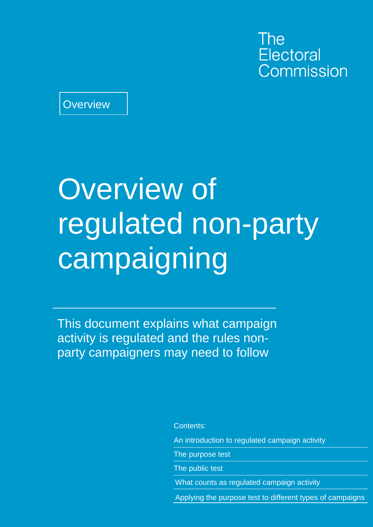The **Electoral** Commission

**Overview** 

## Overview of regulated non-party campaigning

This document explains what campaign activity is regulated and the rules nonparty campaigners may need to follow

Contents:

An introduction to regulated campaign activity

The purpose test

The public test

What counts as regulated campaign activity

Applying the purpose test to different types of campaigns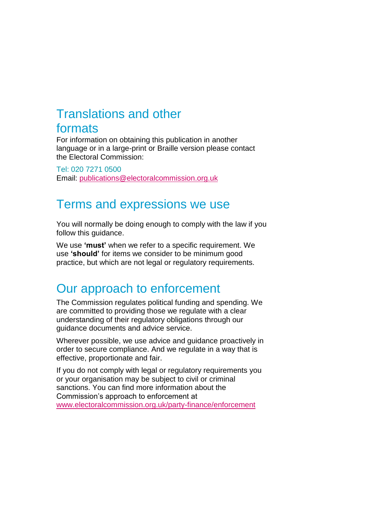#### Translations and other formats

For information on obtaining this publication in another language or in a large-print or Braille version please contact the Electoral Commission:

Tel: 020 7271 0500 Email: [publications@electoralcommission.org.uk](http://www.electoralcommission.org.uk/__data/assets/pdf_file/0007/105946/sp-hustings-rp-npc-ca.pdf)

#### Terms and expressions we use

You will normally be doing enough to comply with the law if you follow this guidance.

We use **'must'** when we refer to a specific requirement. We use **'should'** for items we consider to be minimum good practice, but which are not legal or regulatory requirements.

#### Our approach to enforcement

The Commission regulates political funding and spending. We are committed to providing those we regulate with a clear understanding of their regulatory obligations through our guidance documents and advice service.

Wherever possible, we use advice and guidance proactively in order to secure compliance. And we regulate in a way that is effective, proportionate and fair.

If you do not comply with legal or regulatory requirements you or your organisation may be subject to civil or criminal sanctions. You can find more information about the Commission's approach to enforcement at [www.electoralcommission.org.uk/party-finance/enforcement](http://www.electoralcommission.org.uk/party-finance/enforcement)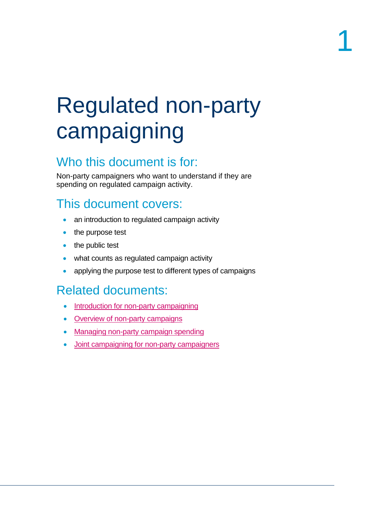## Regulated non-party campaigning

## Who this document is for:

Non-party campaigners who want to understand if they are spending on regulated campaign activity.

## This document covers:

- an introduction to regulated campaign activity
- the purpose test
- the public test
- what counts as regulated campaign activity
- applying the purpose test to different types of campaigns

## Related documents:

- [Introduction for non-party campaigning](http://www.electoralcommission.org.uk/__data/assets/pdf_file/0005/193073/introduction-for-non-party-campaigners-May-2016.pdf)
- [Overview of non-party campaigns](http://www.electoralcommission.org.uk/__data/assets/pdf_file/0010/193069/Overview-of-non-party-campaigns-May-2016.pdf)
- **[Managing non-party](http://www.electoralcommission.org.uk/__data/assets/pdf_file/0010/193078/May-2016-Managing-non-party-campaign-spending.pdf) campaign spending**
- [Joint campaigning for non-party campaigners](http://www.electoralcommission.org.uk/__data/assets/pdf_file/0008/193067/Joint-campaigning-for-non-party-campaigners-May-2016.pdf)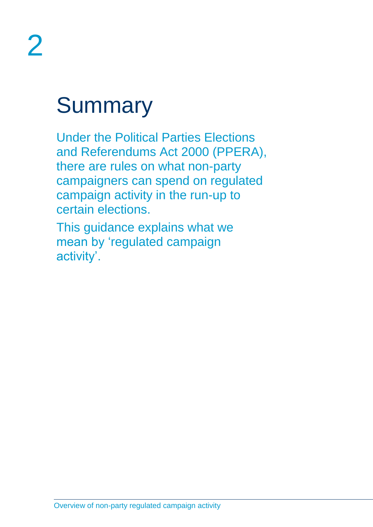## **Summary**

Under the Political Parties Elections and Referendums Act 2000 (PPERA), there are rules on what non-party campaigners can spend on regulated campaign activity in the run-up to certain elections.

This guidance explains what we mean by 'regulated campaign activity'.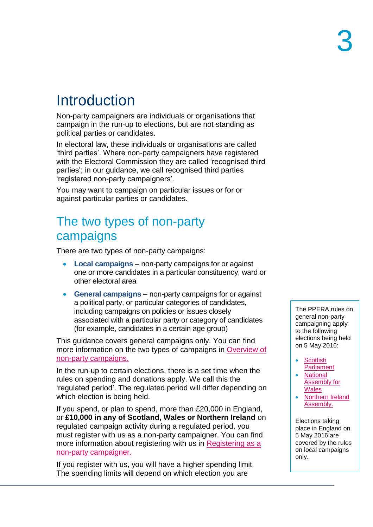## Introduction

Non-party campaigners are individuals or organisations that campaign in the run-up to elections, but are not standing as political parties or candidates.

In electoral law, these individuals or organisations are called 'third parties'. Where non-party campaigners have registered with the Electoral Commission they are called 'recognised third parties'; in our guidance, we call recognised third parties 'registered non-party campaigners'.

You may want to campaign on particular issues or for or against particular parties or candidates.

#### The two types of non-party campaigns

There are two types of non-party campaigns:

- **Local campaigns** non-party campaigns for or against one or more candidates in a particular constituency, ward or other electoral area
- **General campaigns** non-party campaigns for or against a political party, or particular categories of candidates, including campaigns on policies or issues closely associated with a particular party or category of candidates (for example, candidates in a certain age group)

This guidance covers general campaigns only. You can find more information on the two types of campaigns in Overview of [non-party campaigns.](http://www.electoralcommission.org.uk/__data/assets/pdf_file/0010/193069/Overview-of-non-party-campaigns-May-2016.pdf)

In the run-up to certain elections, there is a set time when the rules on spending and donations apply. We call this the 'regulated period'. The regulated period will differ depending on which election is being held.

If you spend, or plan to spend, more than £20,000 in England, or **£10,000 in any of Scotland, Wales or Northern Ireland** on regulated campaign activity during a regulated period, you must register with us as a non-party campaigner. You can find more information about registering with us in [Registering as a](http://www.electoralcommission.org.uk/__data/assets/pdf_file/0003/193062/Registering-as-a-non-party-campaigner-May-2016.pdf)  [non-party campaigner.](http://www.electoralcommission.org.uk/__data/assets/pdf_file/0003/193062/Registering-as-a-non-party-campaigner-May-2016.pdf)

If you register with us, you will have a higher spending limit. The spending limits will depend on which election you are

The PPERA rules on general non-party campaigning apply to the following elections being held on 5 May 2016:

- Scottish **[Parliament](http://www.electoralcommission.org.uk/__data/assets/pdf_file/0006/193038/Scottish-parliamentary-election-May-2016-non-party-campaigners.pdf)**
- [National](http://www.electoralcommission.org.uk/__data/assets/pdf_file/0019/193060/National-Assembly-for-Wales-and-PCC-elections-May-2016-non-party-campaigners.pdf)  [Assembly for](http://www.electoralcommission.org.uk/__data/assets/pdf_file/0019/193060/National-Assembly-for-Wales-and-PCC-elections-May-2016-non-party-campaigners.pdf)  **[Wales](http://www.electoralcommission.org.uk/__data/assets/pdf_file/0019/193060/National-Assembly-for-Wales-and-PCC-elections-May-2016-non-party-campaigners.pdf)**
- Northern Ireland [Assembly.](http://www.electoralcommission.org.uk/__data/assets/pdf_file/0007/193039/Northern-Ireland-Assembly-May-2016-non-party-campaigners.pdf)

Elections taking place in England on 5 May 2016 are covered by the rules on local campaigns only.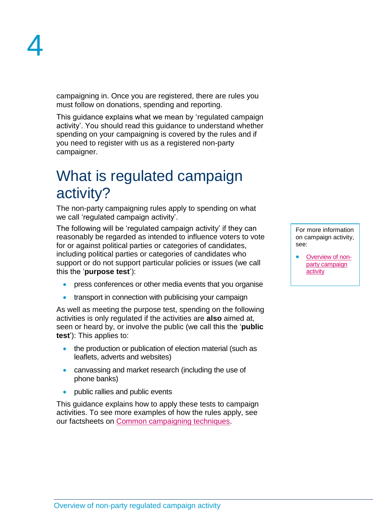campaigning in. Once you are registered, there are rules you must follow on donations, spending and reporting.

This guidance explains what we mean by 'regulated campaign activity'. You should read this guidance to understand whether spending on your campaigning is covered by the rules and if you need to register with us as a registered non-party campaigner.

## What is regulated campaign activity?

The non-party campaigning rules apply to spending on what we call 'regulated campaign activity'.

The following will be 'regulated campaign activity' if they can reasonably be regarded as intended to influence voters to vote for or against political parties or categories of candidates, including political parties or categories of candidates who support or do not support particular policies or issues (we call this the '**purpose test**'):

- press conferences or other media events that you organise
- transport in connection with publicising your campaign

As well as meeting the purpose test, spending on the following activities is only regulated if the activities are **also** aimed at, seen or heard by, or involve the public (we call this the '**public test**'): This applies to:

- the production or publication of election material (such as leaflets, adverts and websites)
- canvassing and market research (including the use of phone banks)
- public rallies and public events

This guidance explains how to apply these tests to campaign activities. To see more examples of how the rules apply, see our factsheets on [Common campaigning techniques.](http://www.electoralcommission.org.uk/i-am-a/party-or-campaigner/non-party-campaigners)

For more information on campaign activity, see:

• [Overview of non](http://www.electoralcommission.org.uk/__data/assets/pdf_file/0010/193069/Overview-of-non-party-campaigns-May-2016.pdf)[party campaign](http://www.electoralcommission.org.uk/__data/assets/pdf_file/0010/193069/Overview-of-non-party-campaigns-May-2016.pdf)  [activity](http://www.electoralcommission.org.uk/__data/assets/pdf_file/0010/193069/Overview-of-non-party-campaigns-May-2016.pdf)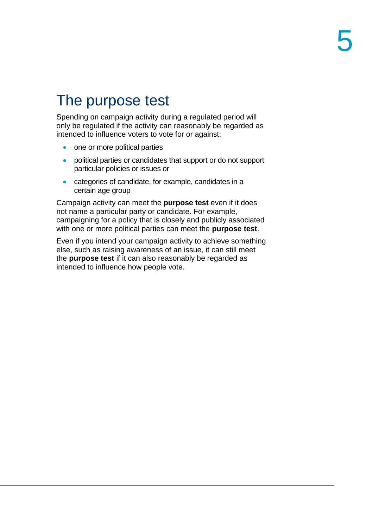## The purpose test

Spending on campaign activity during a regulated period will only be regulated if the activity can reasonably be regarded as intended to influence voters to vote for or against:

- one or more political parties
- political parties or candidates that support or do not support particular policies or issues or
- categories of candidate, for example, candidates in a certain age group

Campaign activity can meet the **purpose test** even if it does not name a particular party or candidate. For example, campaigning for a policy that is closely and publicly associated with one or more political parties can meet the **purpose test**.

Even if you intend your campaign activity to achieve something else, such as raising awareness of an issue, it can still meet the **purpose test** if it can also reasonably be regarded as intended to influence how people vote.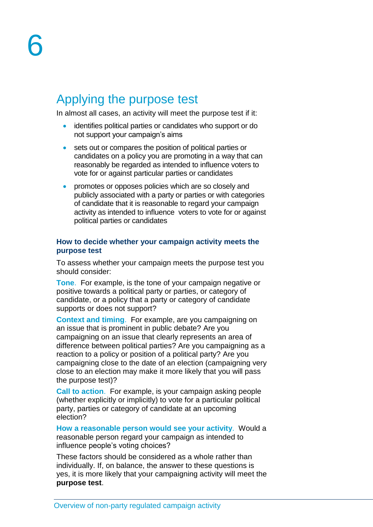#### Applying the purpose test

In almost all cases, an activity will meet the purpose test if it:

- identifies political parties or candidates who support or do not support your campaign's aims
- sets out or compares the position of political parties or candidates on a policy you are promoting in a way that can reasonably be regarded as intended to influence voters to vote for or against particular parties or candidates
- **•** promotes or opposes policies which are so closely and publicly associated with a party or parties or with categories of candidate that it is reasonable to regard your campaign activity as intended to influence voters to vote for or against political parties or candidates

#### **How to decide whether your campaign activity meets the purpose test**

To assess whether your campaign meets the purpose test you should consider:

**Tone**. For example, is the tone of your campaign negative or positive towards a political party or parties, or category of candidate, or a policy that a party or category of candidate supports or does not support?

**Context and timing**. For example, are you campaigning on an issue that is prominent in public debate? Are you campaigning on an issue that clearly represents an area of difference between political parties? Are you campaigning as a reaction to a policy or position of a political party? Are you campaigning close to the date of an election (campaigning very close to an election may make it more likely that you will pass the purpose test)?

**Call to action**. For example, is your campaign asking people (whether explicitly or implicitly) to vote for a particular political party, parties or category of candidate at an upcoming election?

**How a reasonable person would see your activity**. Would a reasonable person regard your campaign as intended to influence people's voting choices?

These factors should be considered as a whole rather than individually. If, on balance, the answer to these questions is yes, it is more likely that your campaigning activity will meet the **purpose test**.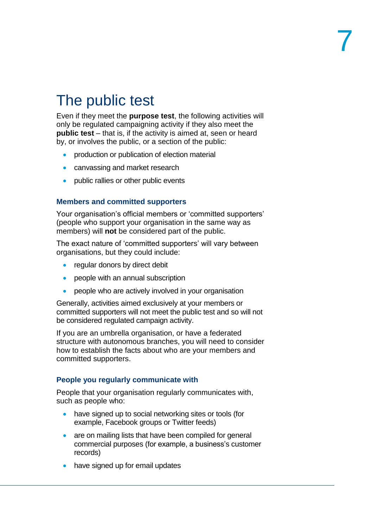## The public test

Even if they meet the **purpose test**, the following activities will only be regulated campaigning activity if they also meet the **public test** – that is, if the activity is aimed at, seen or heard by, or involves the public, or a section of the public:

- production or publication of election material
- canvassing and market research
- public rallies or other public events

#### **Members and committed supporters**

Your organisation's official members or 'committed supporters' (people who support your organisation in the same way as members) will **not** be considered part of the public.

The exact nature of 'committed supporters' will vary between organisations, but they could include:

- regular donors by direct debit
- people with an annual subscription
- people who are actively involved in your organisation

Generally, activities aimed exclusively at your members or committed supporters will not meet the public test and so will not be considered regulated campaign activity.

If you are an umbrella organisation, or have a federated structure with autonomous branches, you will need to consider how to establish the facts about who are your members and committed supporters.

#### **People you regularly communicate with**

People that your organisation regularly communicates with, such as people who:

- have signed up to social networking sites or tools (for example, Facebook groups or Twitter feeds)
- are on mailing lists that have been compiled for general commercial purposes (for example, a business's customer records)
- have signed up for email updates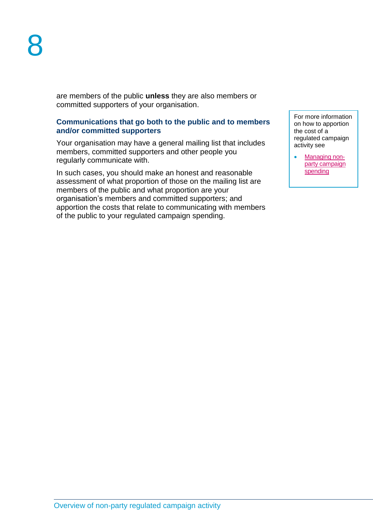are members of the public **unless** they are also members or committed supporters of your organisation.

#### **Communications that go both to the public and to members and/or committed supporters**

Your organisation may have a general mailing list that includes members, committed supporters and other people you regularly communicate with.

In such cases, you should make an honest and reasonable assessment of what proportion of those on the mailing list are members of the public and what proportion are your organisation's members and committed supporters; and apportion the costs that relate to communicating with members of the public to your regulated campaign spending.

For more information on how to apportion the cost of a regulated campaign activity see

[Managing non](http://www.electoralcommission.org.uk/__data/assets/pdf_file/0010/193078/May-2016-Managing-non-party-campaign-spending.pdf)[party campaign](http://www.electoralcommission.org.uk/__data/assets/pdf_file/0010/193078/May-2016-Managing-non-party-campaign-spending.pdf)  [spending](http://www.electoralcommission.org.uk/__data/assets/pdf_file/0010/193078/May-2016-Managing-non-party-campaign-spending.pdf)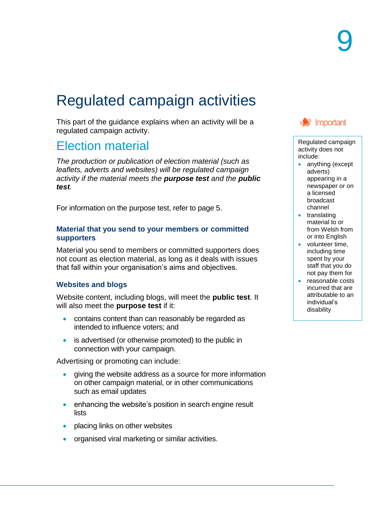## Regulated campaign activities

This part of the guidance explains when an activity will be a regulated campaign activity.

#### Election material

*The production or publication of election material (such as leaflets, adverts and websites) will be regulated campaign activity if the material meets the purpose test and the public test.*

For information on the purpose test, refer to page 5.

#### **Material that you send to your members or committed supporters**

Material you send to members or committed supporters does not count as election material, as long as it deals with issues that fall within your organisation's aims and objectives.

#### **Websites and blogs**

Website content, including blogs, will meet the **public test**. It will also meet the **purpose test** if it:

- contains content than can reasonably be regarded as intended to influence voters; and
- is advertised (or otherwise promoted) to the public in connection with your campaign.

Advertising or promoting can include:

- giving the website address as a source for more information on other campaign material, or in other communications such as email updates
- enhancing the website's position in search engine result lists
- placing links on other websites
- organised viral marketing or similar activities.



Regulated campaign activity does not include:

- anything (except adverts) appearing in a newspaper or on a licensed broadcast channel
- translating material to or from Welsh from or into English
- volunteer time, including time spent by your staff that you do not pay them for
- reasonable costs incurred that are attributable to an individual's disability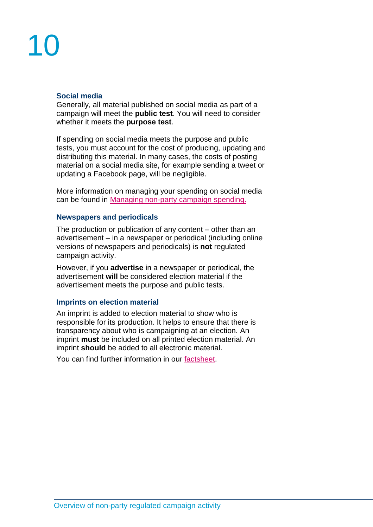# 10

#### **Social media**

Generally, all material published on social media as part of a campaign will meet the **public test**. You will need to consider whether it meets the **purpose test**.

If spending on social media meets the purpose and public tests, you must account for the cost of producing, updating and distributing this material. In many cases, the costs of posting material on a social media site, for example sending a tweet or updating a Facebook page, will be negligible.

More information on managing your spending on social media can be found in [Managing non-party](http://www.electoralcommission.org.uk/__data/assets/pdf_file/0010/193078/May-2016-Managing-non-party-campaign-spending.pdf) campaign spending.

#### **Newspapers and periodicals**

The production or publication of any content – other than an advertisement – in a newspaper or periodical (including online versions of newspapers and periodicals) is **not** regulated campaign activity.

However, if you **advertise** in a newspaper or periodical, the advertisement **will** be considered election material if the advertisement meets the purpose and public tests.

#### **Imprints on election material**

An imprint is added to election material to show who is responsible for its production. It helps to ensure that there is transparency about who is campaigning at an election. An imprint **must** be included on all printed election material. An imprint **should** be added to all electronic material.

You can find further information in our [factsheet.](http://www.electoralcommission.org.uk/__data/assets/pdf_file/0004/166225/fs-imprints-npc.pdf)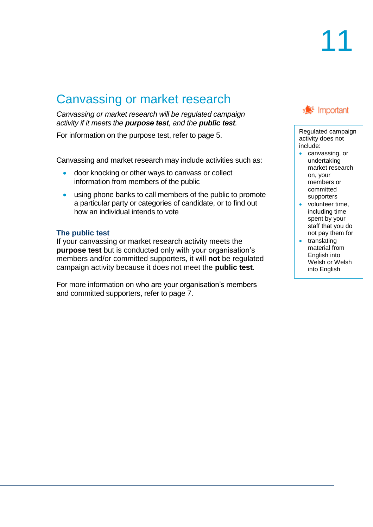## Canvassing or market research

*Canvassing or market research will be regulated campaign activity if it meets the purpose test, and the public test.*

For information on the purpose test, refer to page 5.

Canvassing and market research may include activities such as:

- door knocking or other ways to canvass or collect information from members of the public
- using phone banks to call members of the public to promote a particular party or categories of candidate, or to find out how an individual intends to vote

#### **The public test**

If your canvassing or market research activity meets the **purpose test** but is conducted only with your organisation's members and/or committed supporters, it will **not** be regulated campaign activity because it does not meet the **public test**.

For more information on who are your organisation's members and committed supporters, refer to page 7.

#### ∍<sup>€</sup> Important

Regulated campaign activity does not include:

- canvassing, or undertaking market research on, your members or committed supporters
- volunteer time. including time spent by your staff that you do not pay them for
- translating material from English into Welsh or Welsh into English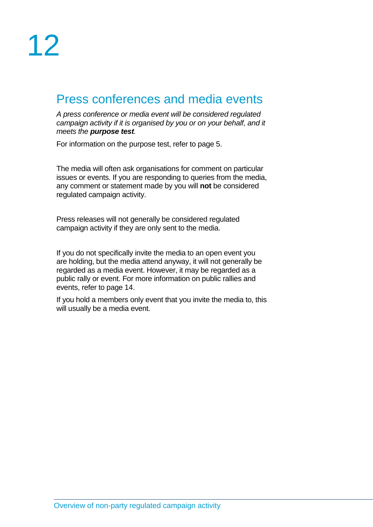#### Press conferences and media events

*A press conference or media event will be considered regulated campaign activity if it is organised by you or on your behalf, and it meets the purpose test.*

For information on the purpose test, refer to page 5.

The media will often ask organisations for comment on particular issues or events. If you are responding to queries from the media, any comment or statement made by you will **not** be considered regulated campaign activity.

Press releases will not generally be considered regulated campaign activity if they are only sent to the media.

If you do not specifically invite the media to an open event you are holding, but the media attend anyway, it will not generally be regarded as a media event. However, it may be regarded as a public rally or event. For more information on public rallies and events, refer to page 14.

If you hold a members only event that you invite the media to, this will usually be a media event.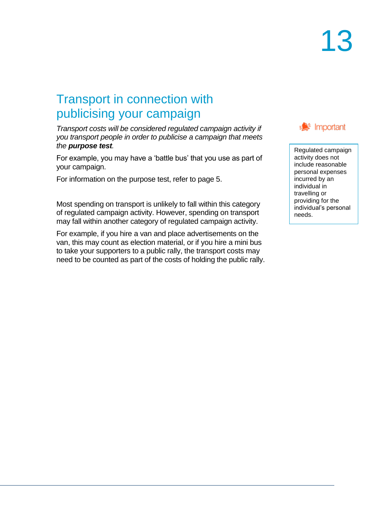### Transport in connection with publicising your campaign

*Transport costs will be considered regulated campaign activity if you transport people in order to publicise a campaign that meets the purpose test.*

For example, you may have a 'battle bus' that you use as part of your campaign.

For information on the purpose test, refer to page 5.

Most spending on transport is unlikely to fall within this category of regulated campaign activity. However, spending on transport may fall within another category of regulated campaign activity.

For example, if you hire a van and place advertisements on the van, this may count as election material, or if you hire a mini bus to take your supporters to a public rally, the transport costs may need to be counted as part of the costs of holding the public rally.



Regulated campaign activity does not include reasonable personal expenses incurred by an individual in travelling or providing for the individual's personal needs.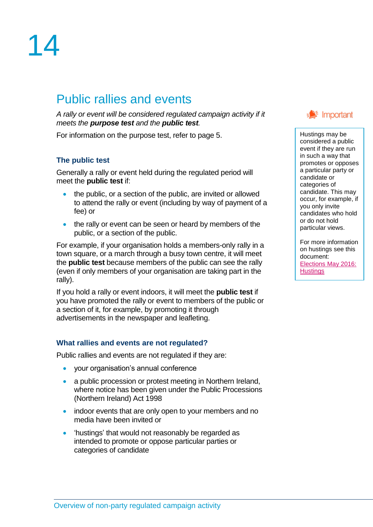## 14

## Public rallies and events

*A rally or event will be considered regulated campaign activity if it meets the purpose test and the public test.*

For information on the purpose test, refer to page 5.

#### **The public test**

Generally a rally or event held during the regulated period will meet the **public test** if:

- the public, or a section of the public, are invited or allowed to attend the rally or event (including by way of payment of a fee) or
- the rally or event can be seen or heard by members of the public, or a section of the public.

For example, if your organisation holds a members-only rally in a town square, or a march through a busy town centre, it will meet the **public test** because members of the public can see the rally (even if only members of your organisation are taking part in the rally).

If you hold a rally or event indoors, it will meet the **public test** if you have promoted the rally or event to members of the public or a section of it, for example, by promoting it through advertisements in the newspaper and leafleting.

#### **What rallies and events are not regulated?**

Public rallies and events are not regulated if they are:

- your organisation's annual conference
- a public procession or protest meeting in Northern Ireland, where notice has been given under the Public Processions (Northern Ireland) Act 1998
- indoor events that are only open to your members and no media have been invited or
- 'hustings' that would not reasonably be regarded as intended to promote or oppose particular parties or categories of candidate



Hustings may be considered a public event if they are run in such a way that promotes or opposes a particular party or candidate or categories of candidate. This may occur, for example, if you only invite candidates who hold or do not hold particular views.

For more information on hustings see this document: [Elections May 2016:](http://www.electoralcommission.org.uk/__data/assets/pdf_file/0007/193075/Elections-May-2016-Hustings.pdf)  **[Hustings](http://www.electoralcommission.org.uk/__data/assets/pdf_file/0007/193075/Elections-May-2016-Hustings.pdf)**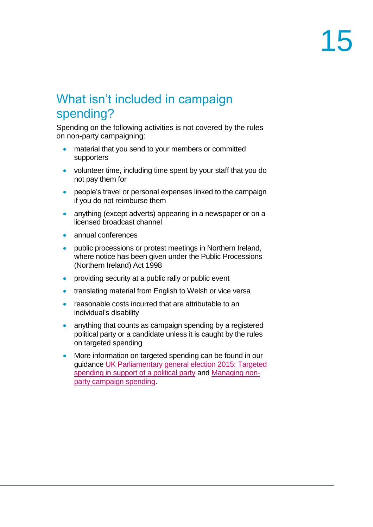### What isn't included in campaign spending?

Spending on the following activities is not covered by the rules on non-party campaigning:

- material that you send to your members or committed supporters
- volunteer time, including time spent by your staff that you do not pay them for
- people's travel or personal expenses linked to the campaign if you do not reimburse them
- anything (except adverts) appearing in a newspaper or on a licensed broadcast channel
- annual conferences
- public processions or protest meetings in Northern Ireland, where notice has been given under the Public Processions (Northern Ireland) Act 1998
- providing security at a public rally or public event
- translating material from English to Welsh or vice versa
- reasonable costs incurred that are attributable to an individual's disability
- anything that counts as campaign spending by a registered political party or a candidate unless it is caught by the rules on targeted spending
- More information on targeted spending can be found in our guidance [UK Parliamentary general election 2015: Targeted](http://www.electoralcommission.org.uk/__data/assets/pdf_file/0003/169194/fs-target-spending-parties-ukpge-2015.pdf)  [spending in support of a political party](http://www.electoralcommission.org.uk/__data/assets/pdf_file/0003/169194/fs-target-spending-parties-ukpge-2015.pdf) and [Managing non](http://www.electoralcommission.org.uk/_media/guidance/non-party-campaigners/english-versions/May-2016-Managing-non-party-campaign-spending.pdf)party [campaign](http://www.electoralcommission.org.uk/_media/guidance/non-party-campaigners/english-versions/May-2016-Managing-non-party-campaign-spending.pdf) spending.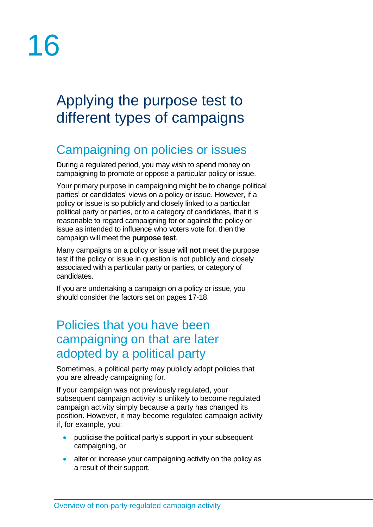# 16

## Applying the purpose test to different types of campaigns

## Campaigning on policies or issues

During a regulated period, you may wish to spend money on campaigning to promote or oppose a particular policy or issue.

Your primary purpose in campaigning might be to change political parties' or candidates' views on a policy or issue. However, if a policy or issue is so publicly and closely linked to a particular political party or parties, or to a category of candidates, that it is reasonable to regard campaigning for or against the policy or issue as intended to influence who voters vote for, then the campaign will meet the **purpose test**.

Many campaigns on a policy or issue will **not** meet the purpose test if the policy or issue in question is not publicly and closely associated with a particular party or parties, or category of candidates.

If you are undertaking a campaign on a policy or issue, you should consider the factors set on pages 17-18.

#### Policies that you have been campaigning on that are later adopted by a political party

Sometimes, a political party may publicly adopt policies that you are already campaigning for.

If your campaign was not previously regulated, your subsequent campaign activity is unlikely to become regulated campaign activity simply because a party has changed its position. However, it may become regulated campaign activity if, for example, you:

- publicise the political party's support in your subsequent campaigning, or
- alter or increase your campaigning activity on the policy as a result of their support.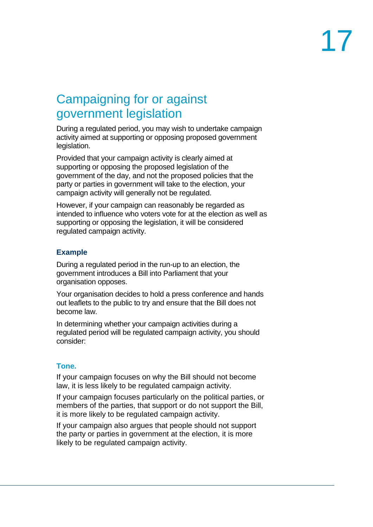### Campaigning for or against government legislation

During a regulated period, you may wish to undertake campaign activity aimed at supporting or opposing proposed government legislation.

Provided that your campaign activity is clearly aimed at supporting or opposing the proposed legislation of the government of the day, and not the proposed policies that the party or parties in government will take to the election, your campaign activity will generally not be regulated.

However, if your campaign can reasonably be regarded as intended to influence who voters vote for at the election as well as supporting or opposing the legislation, it will be considered regulated campaign activity.

#### **Example**

During a regulated period in the run-up to an election, the government introduces a Bill into Parliament that your organisation opposes.

Your organisation decides to hold a press conference and hands out leaflets to the public to try and ensure that the Bill does not become law.

In determining whether your campaign activities during a regulated period will be regulated campaign activity, you should consider:

#### **Tone.**

If your campaign focuses on why the Bill should not become law, it is less likely to be regulated campaign activity.

If your campaign focuses particularly on the political parties, or members of the parties, that support or do not support the Bill, it is more likely to be regulated campaign activity.

If your campaign also argues that people should not support the party or parties in government at the election, it is more likely to be regulated campaign activity.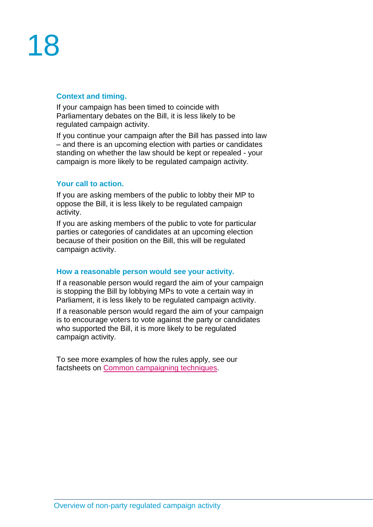#### **Context and timing.**

If your campaign has been timed to coincide with Parliamentary debates on the Bill, it is less likely to be regulated campaign activity.

If you continue your campaign after the Bill has passed into law – and there is an upcoming election with parties or candidates standing on whether the law should be kept or repealed - your campaign is more likely to be regulated campaign activity.

#### **Your call to action.**

If you are asking members of the public to lobby their MP to oppose the Bill, it is less likely to be regulated campaign activity.

If you are asking members of the public to vote for particular parties or categories of candidates at an upcoming election because of their position on the Bill, this will be regulated campaign activity.

#### **How a reasonable person would see your activity.**

If a reasonable person would regard the aim of your campaign is stopping the Bill by lobbying MPs to vote a certain way in Parliament, it is less likely to be regulated campaign activity.

If a reasonable person would regard the aim of your campaign is to encourage voters to vote against the party or candidates who supported the Bill, it is more likely to be regulated campaign activity.

To see more examples of how the rules apply, see our factsheets on [Common campaigning techniques.](http://www.electoralcommission.org.uk/i-am-a/party-or-campaigner/non-party-campaigners)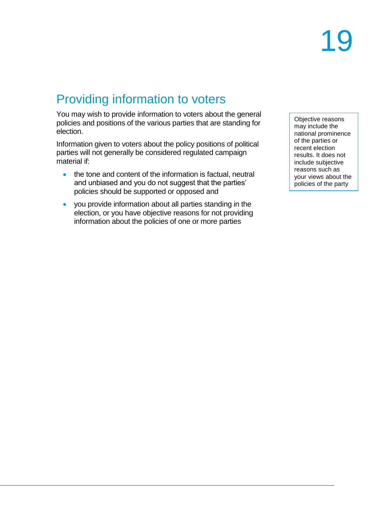## Providing information to voters

You may wish to provide information to voters about the general policies and positions of the various parties that are standing for election.

Information given to voters about the policy positions of political parties will not generally be considered regulated campaign material if:

- the tone and content of the information is factual, neutral and unbiased and you do not suggest that the parties' policies should be supported or opposed and
- you provide information about all parties standing in the election, or you have objective reasons for not providing information about the policies of one or more parties

Objective reasons may include the national prominence of the parties or recent election results. It does not include subjective reasons such as your views about the policies of the party